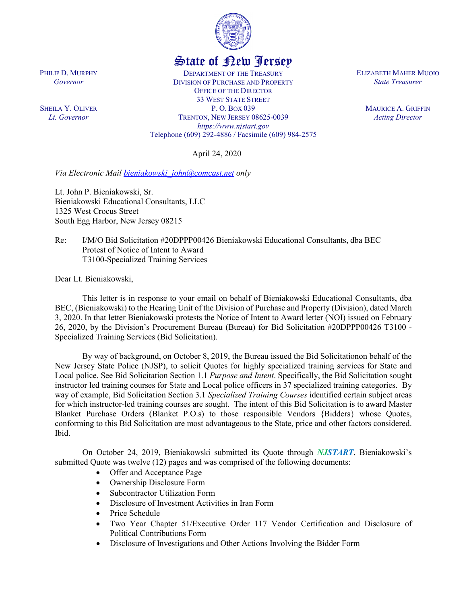

## State of New Jersey

DEPARTMENT OF THE TREASURY DIVISION OF PURCHASE AND PROPERTY OFFICE OF THE DIRECTOR 33 WEST STATE STREET P. O. BOX 039 TRENTON, NEW JERSEY 08625-0039 *https://www.njstart.gov* Telephone (609) 292-4886 / Facsimile (609) 984-2575

April 24, 2020

*Via Electronic Mail [bieniakowski\\_john@comcast.net](mailto:bieniakowski_john@comcast.net) only*

Lt. John P. Bieniakowski, Sr. Bieniakowski Educational Consultants, LLC 1325 West Crocus Street South Egg Harbor, New Jersey 08215

Re: I/M/O Bid Solicitation #20DPPP00426 Bieniakowski Educational Consultants, dba BEC Protest of Notice of Intent to Award T3100-Specialized Training Services

Dear Lt. Bieniakowski,

This letter is in response to your email on behalf of Bieniakowski Educational Consultants, dba BEC, (Bieniakowski) to the Hearing Unit of the Division of Purchase and Property (Division), dated March 3, 2020. In that letter Bieniakowski protests the Notice of Intent to Award letter (NOI) issued on February 26, 2020, by the Division's Procurement Bureau (Bureau) for Bid Solicitation #20DPPP00426 T3100 - Specialized Training Services (Bid Solicitation).

By way of background, on October 8, 2019, the Bureau issued the Bid Solicitationon behalf of the New Jersey State Police (NJSP), to solicit Quotes for highly specialized training services for State and Local police. See Bid Solicitation Section 1.1 *Purpose and Intent*. Specifically, the Bid Solicitation sought instructor led training courses for State and Local police officers in 37 specialized training categories. By way of example, Bid Solicitation Section 3.1 *Specialized Training Courses* identified certain subject areas for which instructor-led training courses are sought. The intent of this Bid Solicitation is to award Master Blanket Purchase Orders (Blanket P.O.s) to those responsible Vendors {Bidders} whose Quotes, conforming to this Bid Solicitation are most advantageous to the State, price and other factors considered. Ibid.

On October 24, 2019, Bieniakowski submitted its Quote through *NJSTART*. Bieniakowski's submitted Quote was twelve (12) pages and was comprised of the following documents:

- Offer and Acceptance Page
- Ownership Disclosure Form
- Subcontractor Utilization Form
- Disclosure of Investment Activities in Iran Form
- Price Schedule
- Two Year Chapter 51/Executive Order 117 Vendor Certification and Disclosure of Political Contributions Form
- Disclosure of Investigations and Other Actions Involving the Bidder Form

PHILIP D. MURPHY *Governor*

SHEILA Y. OLIVER *Lt. Governor*

ELIZABETH MAHER MUOIO *State Treasurer*

> MAURICE A. GRIFFIN *Acting Director*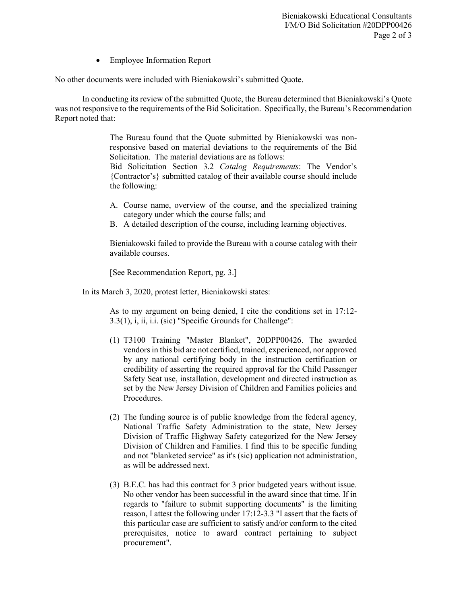• Employee Information Report

No other documents were included with Bieniakowski's submitted Quote.

In conducting its review of the submitted Quote, the Bureau determined that Bieniakowski's Quote was not responsive to the requirements of the Bid Solicitation. Specifically, the Bureau's Recommendation Report noted that:

> The Bureau found that the Quote submitted by Bieniakowski was nonresponsive based on material deviations to the requirements of the Bid Solicitation. The material deviations are as follows: Bid Solicitation Section 3.2 *Catalog Requirements*: The Vendor's

> {Contractor's} submitted catalog of their available course should include the following:

- A. Course name, overview of the course, and the specialized training category under which the course falls; and
- B. A detailed description of the course, including learning objectives.

Bieniakowski failed to provide the Bureau with a course catalog with their available courses.

[See Recommendation Report, pg. 3.]

In its March 3, 2020, protest letter, Bieniakowski states:

As to my argument on being denied, I cite the conditions set in 17:12- 3.3(1), i, ii, i.i. (sic) "Specific Grounds for Challenge":

- (1) T3100 Training "Master Blanket", 20DPP00426. The awarded vendors in this bid are not certified, trained, experienced, nor approved by any national certifying body in the instruction certification or credibility of asserting the required approval for the Child Passenger Safety Seat use, installation, development and directed instruction as set by the New Jersey Division of Children and Families policies and Procedures.
- (2) The funding source is of public knowledge from the federal agency, National Traffic Safety Administration to the state, New Jersey Division of Traffic Highway Safety categorized for the New Jersey Division of Children and Families. I find this to be specific funding and not "blanketed service" as it's (sic) application not administration, as will be addressed next.
- (3) B.E.C. has had this contract for 3 prior budgeted years without issue. No other vendor has been successful in the award since that time. If in regards to "failure to submit supporting documents" is the limiting reason, I attest the following under 17:12-3.3 "I assert that the facts of this particular case are sufficient to satisfy and/or conform to the cited prerequisites, notice to award contract pertaining to subject procurement".